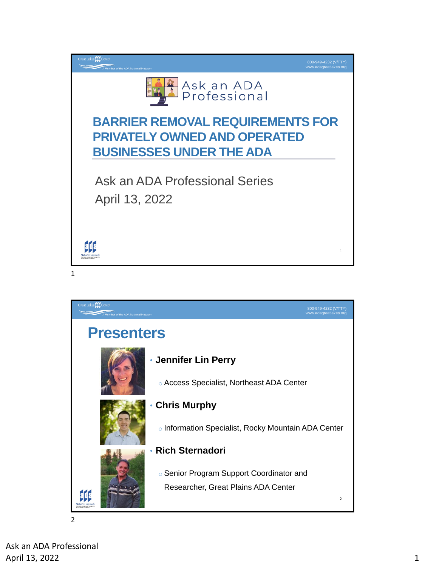

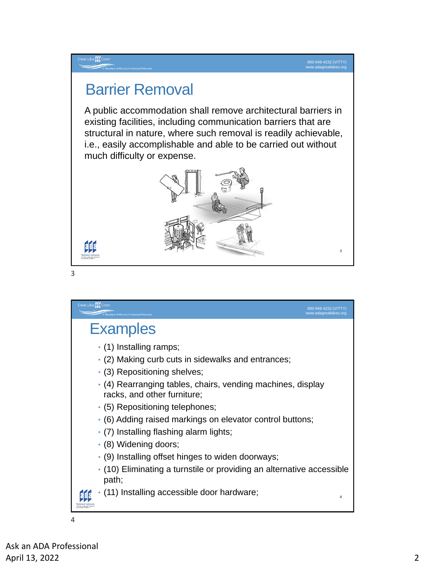3

# Barrier Removal

A public accommodation shall remove architectural barriers in existing facilities, including communication barriers that are structural in nature, where such removal is readily achievable, i.e., easily accomplishable and able to be carried out without much difficulty or expense.





eat Lakes **ELLE** C

3

at Lakes ELE Cent 800-949-4232 (V/TTY) www.adagreatlakes.org **Examples** • (1) Installing ramps; • (2) Making curb cuts in sidewalks and entrances; • (3) Repositioning shelves; • (4) Rearranging tables, chairs, vending machines, display racks, and other furniture; • (5) Repositioning telephones; • (6) Adding raised markings on elevator control buttons; • (7) Installing flashing alarm lights; • (8) Widening doors; • (9) Installing offset hinges to widen doorways; • (10) Eliminating a turnstile or providing an alternative accessible path; • (11) Installing accessible door hardware; 4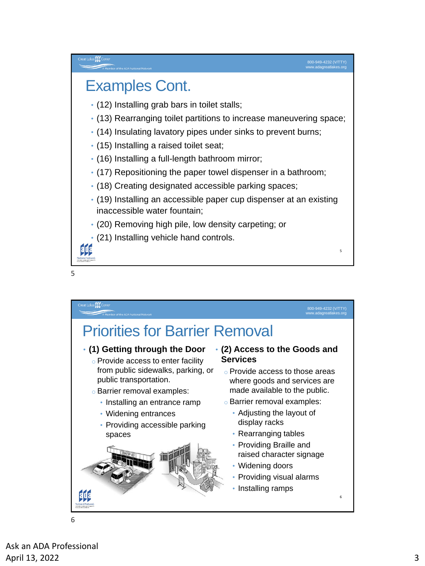5

### es <mark>fút</mark>

### Examples Cont.

- (12) Installing grab bars in toilet stalls;
- (13) Rearranging toilet partitions to increase maneuvering space;
- (14) Insulating lavatory pipes under sinks to prevent burns;
- (15) Installing a raised toilet seat;
- (16) Installing a full-length bathroom mirror;
- (17) Repositioning the paper towel dispenser in a bathroom;
- (18) Creating designated accessible parking spaces;
- (19) Installing an accessible paper cup dispenser at an existing inaccessible water fountain;
- (20) Removing high pile, low density carpeting; or
- (21) Installing vehicle hand controls.

5



Ask an ADA Professional April 13, 2022 3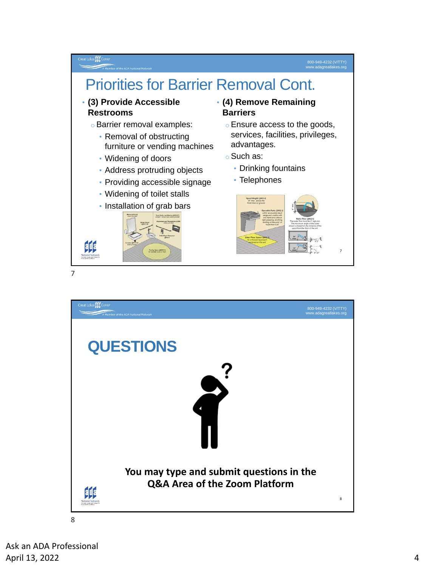### 800-949-4232 (V/TTY) www.adagreatlakes.org

### Great Lakes **ELE** Cen

# Priorities for Barrier Removal Cont.

#### • **(3) Provide Accessible Restrooms**

- o Barrier removal examples:
	- Removal of obstructing furniture or vending machines
	- Widening of doors
	- Address protruding objects
	- Providing accessible signage
	- Widening of toilet stalls
	- Installation of grab bars



### • **(4) Remove Remaining Barriers**

- o Ensure access to the goods, services, facilities, privileges, advantages.
- o Such as:
	- Drinking fountains
	- Telephones





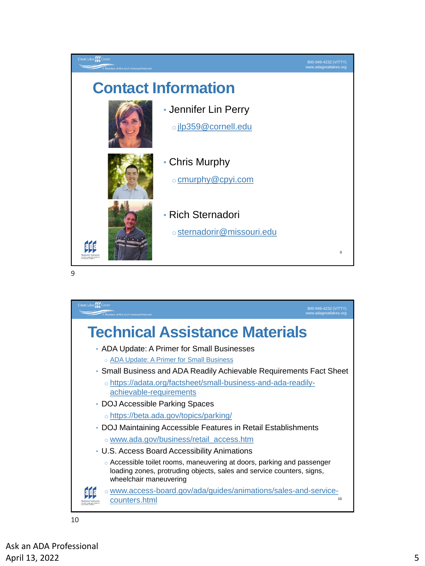

9

| Great Lakes ELE Center<br>800-949-4232 (V/TTY)<br>www.adagreatlakes.org<br>A Member of the ADA National Network                                                                                                                  |  |
|----------------------------------------------------------------------------------------------------------------------------------------------------------------------------------------------------------------------------------|--|
| <b>Technical Assistance Materials</b>                                                                                                                                                                                            |  |
| • ADA Update: A Primer for Small Businesses<br>○ ADA Update: A Primer for Small Business<br>• Small Business and ADA Readily Achievable Requirements Fact Sheet<br>o https://adata.org/factsheet/small-business-and-ada-readily- |  |
| achievable-requirements<br>• DOJ Accessible Parking Spaces<br>ohttps://beta.ada.gov/topics/parking/<br>• DOJ Maintaining Accessible Features in Retail Establishments<br>⊙ www.ada.gov/business/retail_access.htm                |  |
| • U.S. Access Board Accessibility Animations<br>$\circ$ Accessible toilet rooms, maneuvering at doors, parking and passenger<br>loading zones, protruding objects, sales and service counters, signs,<br>wheelchair maneuvering  |  |
| o www.access-board.gov/ada/guides/animations/sales-and-service-<br>10<br>counters.html                                                                                                                                           |  |